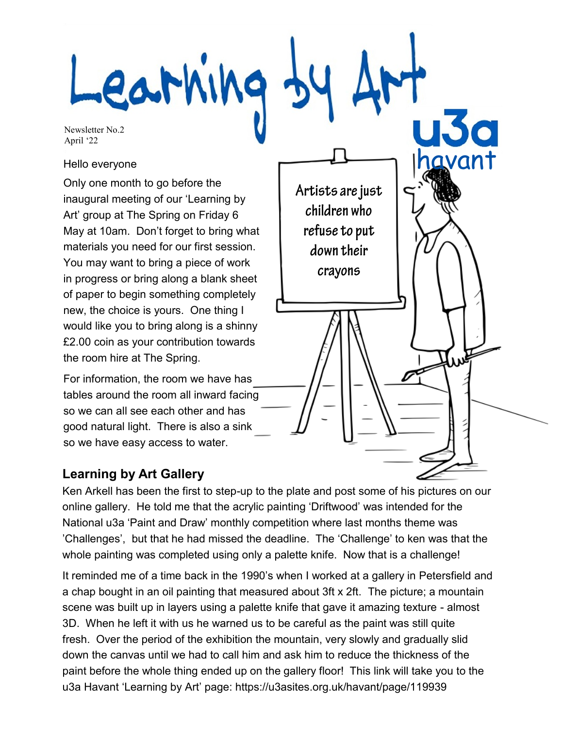-earning

Artists are just

children who

refuse to put

down their

crayons

3а

Newsletter No.2 April '22

## Hello everyone **havant**

Only one month to go before the inaugural meeting of our 'Learning by Art' group at The Spring on Friday 6 May at 10am. Don't forget to bring what materials you need for our first session. You may want to bring a piece of work in progress or bring along a blank sheet of paper to begin something completely new, the choice is yours. One thing I would like you to bring along is a shinny £2.00 coin as your contribution towards the room hire at The Spring.

For information, the room we have has tables around the room all inward facing so we can all see each other and has good natural light. There is also a sink so we have easy access to water.

## **Learning by Art Gallery**

Ken Arkell has been the first to step-up to the plate and post some of his pictures on our online gallery. He told me that the acrylic painting 'Driftwood' was intended for the National u3a 'Paint and Draw' monthly competition where last months theme was 'Challenges', but that he had missed the deadline. The 'Challenge' to ken was that the whole painting was completed using only a palette knife. Now that is a challenge!

It reminded me of a time back in the 1990's when I worked at a gallery in Petersfield and a chap bought in an oil painting that measured about 3ft x 2ft. The picture; a mountain scene was built up in layers using a palette knife that gave it amazing texture - almost 3D. When he left it with us he warned us to be careful as the paint was still quite fresh. Over the period of the exhibition the mountain, very slowly and gradually slid down the canvas until we had to call him and ask him to reduce the thickness of the paint before the whole thing ended up on the gallery floor! This link will take you to the u3a Havant 'Learning by Art' page: https://u3asites.org.uk/havant/page/119939